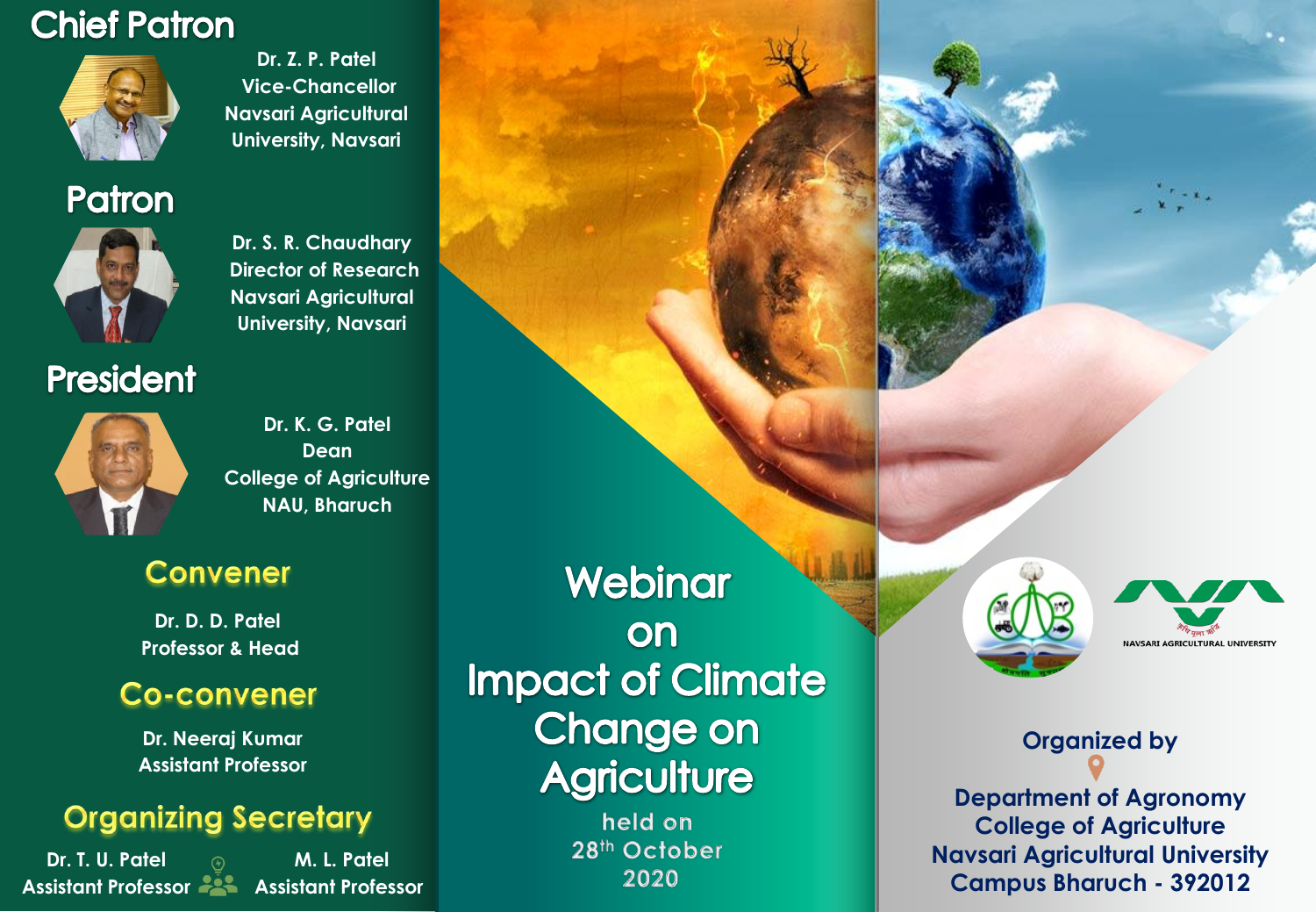# **Chief Patron**



**Dr. Z. P. Patel Vice-Chancellor Navsari Agricultural University, Navsari**

# **Patron**



**Dr. S. R. Chaudhary Director of Research Navsari Agricultural University, Navsari**

# **President**



**Dr. K. G. Patel Dean College of Agriculture NAU, Bharuch**

# **Convener**

**Dr. D. D. Patel Professor & Head**

## **Co-convener**

**Dr. Neeraj Kumar Assistant Professor** 

# **Organizing Secretary**

**Dr. T. U. Patel Assistant Professor** 

**M. L. Patel Assistant Professor** 

Webinar on **Impact of Climate Change on Agriculture** 

held on 28<sup>th</sup> October 2020





## **Organized by**

**Department of Agronomy College of Agriculture Navsari Agricultural University Campus Bharuch - 392012**